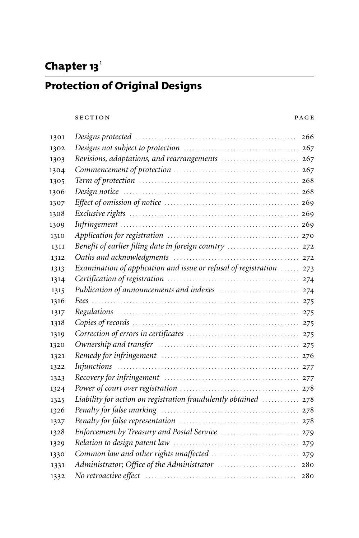# Chapter 13<sup>1</sup>

# **Protection of Original Designs**

#### SECTION PAGE

| 1301 |                                                                      | 266 |
|------|----------------------------------------------------------------------|-----|
| 1302 |                                                                      |     |
| 1303 |                                                                      |     |
| 1304 |                                                                      |     |
| 1305 |                                                                      |     |
| 1306 |                                                                      |     |
| 1307 |                                                                      |     |
| 1308 |                                                                      |     |
| 1309 |                                                                      |     |
| 1310 |                                                                      |     |
| 1311 | Benefit of earlier filing date in foreign country  272               |     |
| 1312 |                                                                      |     |
| 1313 | Examination of application and issue or refusal of registration  273 |     |
| 1314 |                                                                      |     |
| 1315 |                                                                      |     |
| 1316 |                                                                      |     |
| 1317 |                                                                      |     |
| 1318 |                                                                      |     |
| 1319 |                                                                      |     |
| 1320 |                                                                      |     |
| 1321 |                                                                      |     |
| 1322 |                                                                      |     |
| 1323 |                                                                      |     |
| 1324 |                                                                      |     |
| 1325 | Liability for action on registration fraudulently obtained  278      |     |
| 1326 |                                                                      |     |
| 1327 |                                                                      |     |
| 1328 |                                                                      |     |
| 1329 |                                                                      |     |
| 1330 |                                                                      |     |
| 1331 |                                                                      | 280 |
| 1332 |                                                                      | 280 |
|      |                                                                      |     |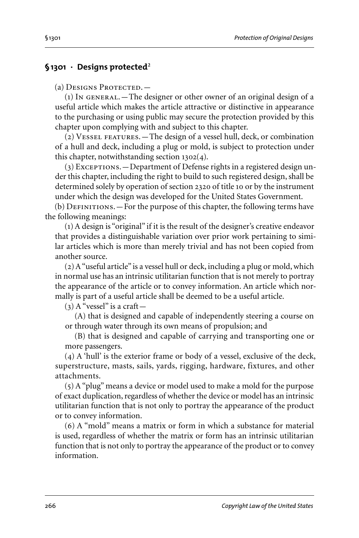#### **§1301 · Designs protected**2

(a) DESIGNS PROTECTED. -

 $(1)$  In GENERAL. — The designer or other owner of an original design of a useful article which makes the article attractive or distinctive in appearance to the purchasing or using public may secure the protection provided by this chapter upon complying with and subject to this chapter.

(2) Vessel features.—The design of a vessel hull, deck, or combination of a hull and deck, including a plug or mold, is subject to protection under this chapter, notwithstanding section 1302(4).

(3) Exceptions. - Department of Defense rights in a registered design under this chapter, including the right to build to such registered design, shall be determined solely by operation of section 2320 of title 10 or by the instrument under which the design was developed for the United States Government.

 $(b)$  DEFINITIONS. — For the purpose of this chapter, the following terms have the following meanings:

(1) A design is "original" if it is the result of the designer's creative endeavor that provides a distinguishable variation over prior work pertaining to similar articles which is more than merely trivial and has not been copied from another source.

(2) A"useful article" is a vessel hull or deck, including a plug or mold,which in normal use has an intrinsic utilitarian function that is not merely to portray the appearance of the article or to convey information. An article which normally is part of a useful article shall be deemed to be a useful article.

 $(3)$  A "vessel" is a craft —

(A) that is designed and capable of independently steering a course on or through water through its own means of propulsion; and

(B) that is designed and capable of carrying and transporting one or more passengers.

(4) A 'hull' is the exterior frame or body of a vessel, exclusive of the deck, superstructure, masts, sails, yards, rigging, hardware, fixtures, and other attachments.

(5) A"plug" means a device or model used to make a mold for the purpose of exact duplication, regardless of whether the device or model has an intrinsic utilitarian function that is not only to portray the appearance of the product or to convey information.

(6) A "mold" means a matrix or form in which a substance for material is used, regardless of whether the matrix or form has an intrinsic utilitarian function that is not only to portray the appearance of the product or to convey information.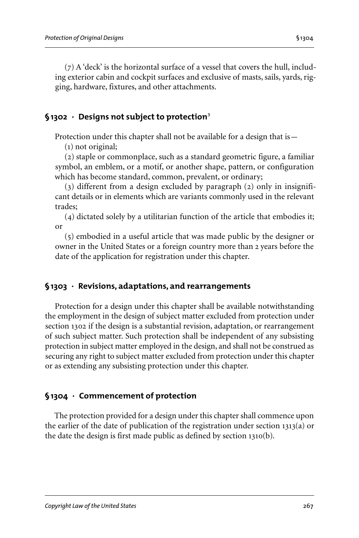(7) A 'deck' is the horizontal surface of a vessel that covers the hull, including exterior cabin and cockpit surfaces and exclusive of masts, sails, yards, rigging, hardware, fixtures, and other attachments.

## **§1302 · Designs not subject to protection**3

Protection under this chapter shall not be available for a design that is -

(1) not original;

(2) staple or commonplace, such as a standard geometric figure, a familiar symbol, an emblem, or a motif, or another shape, pattern, or configuration which has become standard, common, prevalent, or ordinary;

(3) different from a design excluded by paragraph (2) only in insignificant details or in elements which are variants commonly used in the relevant trades;

(4) dictated solely by a utilitarian function of the article that embodies it; or

(5) embodied in a useful article that was made public by the designer or owner in the United States or a foreign country more than 2 years before the date of the application for registration under this chapter.

## **§1303 · Revisions, adaptations, and rearrangements**

Protection for a design under this chapter shall be available notwithstanding the employment in the design of subject matter excluded from protection under section 1302 if the design is a substantial revision, adaptation, or rearrangement of such subject matter. Such protection shall be independent of any subsisting protection in subject matter employed in the design, and shall not be construed as securing any right to subject matter excluded from protection under this chapter or as extending any subsisting protection under this chapter.

## **§1304 · Commencement of protection**

The protection provided for a design under this chapter shall commence upon the earlier of the date of publication of the registration under section 1313(a) or the date the design is first made public as defined by section 1310(b).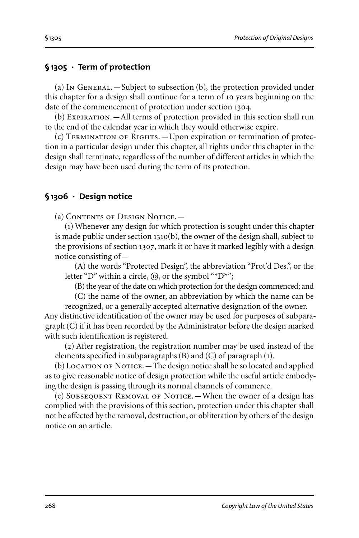## **§1305 · Term of protection**

(a) In General.—Subject to subsection (b), the protection provided under this chapter for a design shall continue for a term of 10 years beginning on the date of the commencement of protection under section 1304.

(b) Expiration.—All terms of protection provided in this section shall run to the end of the calendar year in which they would otherwise expire.

(c) Termination of Rights.—Upon expiration or termination of protection in a particular design under this chapter, all rights under this chapter in the design shall terminate, regardless of the number of different articles in which the design may have been used during the term of its protection.

## **§1306 · Design notice**

(a) Contents of Design Notice.—

(1) Whenever any design for which protection is sought under this chapter is made public under section 1310(b), the owner of the design shall, subject to the provisions of section 1307, mark it or have it marked legibly with a design notice consisting of—

(A) the words "Protected Design", the abbreviation "Prot'd Des.", or the letter "D" within a circle,  $(\mathbb{D})$ , or the symbol "\*D\*";

(B) the year of the date on which protection for the design commenced; and

(C) the name of the owner, an abbreviation by which the name can be recognized, or a generally accepted alternative designation of the owner.

Any distinctive identification of the owner may be used for purposes of subparagraph (C) if it has been recorded by the Administrator before the design marked with such identification is registered.

(2) After registration, the registration number may be used instead of the elements specified in subparagraphs (B) and (C) of paragraph (1).

(b) LOCATION OF NOTICE. - The design notice shall be so located and applied as to give reasonable notice of design protection while the useful article embodying the design is passing through its normal channels of commerce.

(c) Subsequent Removal of Notice.—When the owner of a design has complied with the provisions of this section, protection under this chapter shall not be affected by the removal, destruction, or obliteration by others of the design notice on an article.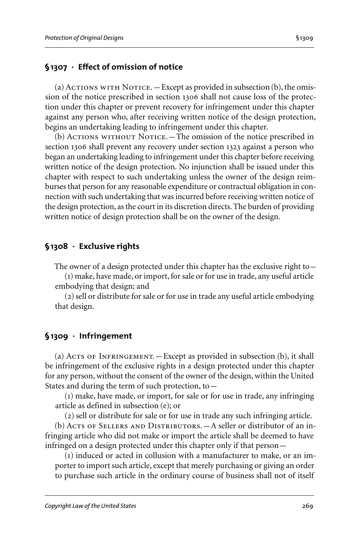## **§1307 · Effect of omission of notice**

(a)  $A$ CTIONS WITH NOTICE. — Except as provided in subsection (b), the omission of the notice prescribed in section 1306 shall not cause loss of the protection under this chapter or prevent recovery for infringement under this chapter against any person who, after receiving written notice of the design protection, begins an undertaking leading to infringement under this chapter.

(b) ACTIONS WITHOUT NOTICE. - The omission of the notice prescribed in section 1306 shall prevent any recovery under section 1323 against a person who began an undertaking leading to infringement under this chapter before receiving written notice of the design protection. No injunction shall be issued under this chapter with respect to such undertaking unless the owner of the design reimburses that person for any reasonable expenditure or contractual obligation in connection with such undertaking that was incurred before receiving written notice of the design protection, as the court in its discretion directs. The burden of providing written notice of design protection shall be on the owner of the design.

## **§1308 · Exclusive rights**

The owner of a design protected under this chapter has the exclusive right to—

(1) make, have made, or import, for sale or for use in trade, any useful article embodying that design; and

(2) sell or distribute for sale or for use in trade any useful article embodying that design.

## **§1309 · Infringement**

(a) Acts of INFRINGEMENT. - Except as provided in subsection  $(b)$ , it shall be infringement of the exclusive rights in a design protected under this chapter for any person, without the consent of the owner of the design, within the United States and during the term of such protection, to—

(1) make, have made, or import, for sale or for use in trade, any infringing article as defined in subsection (e); or

(2) sell or distribute for sale or for use in trade any such infringing article.

(b) ACTS OF SELLERS AND DISTRIBUTORS. - A seller or distributor of an infringing article who did not make or import the article shall be deemed to have infringed on a design protected under this chapter only if that person—

(1) induced or acted in collusion with a manufacturer to make, or an importer to import such article, except that merely purchasing or giving an order to purchase such article in the ordinary course of business shall not of itself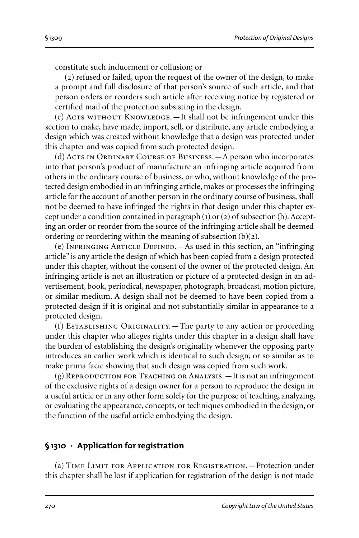constitute such inducement or collusion; or

(2) refused or failed, upon the request of the owner of the design, to make a prompt and full disclosure of that person's source of such article, and that person orders or reorders such article after receiving notice by registered or certified mail of the protection subsisting in the design.

 $(c)$  Acts without KNOWLEDGE.  $-$  It shall not be infringement under this section to make, have made, import, sell, or distribute, any article embodying a design which was created without knowledge that a design was protected under this chapter and was copied from such protected design.

(d) Acts in Ordinary Course of Business.—A person who incorporates into that person's product of manufacture an infringing article acquired from others in the ordinary course of business, or who, without knowledge of the protected design embodied in an infringing article, makes or processes the infringing article for the account of another person in the ordinary course of business, shall not be deemed to have infringed the rights in that design under this chapter except under a condition contained in paragraph  $(1)$  or  $(2)$  of subsection  $(b)$ . Accepting an order or reorder from the source of the infringing article shall be deemed ordering or reordering within the meaning of subsection  $(b)(2)$ .

(e) Infringing Article Defined.—As used in this section, an "infringing article" is any article the design of which has been copied from a design protected under this chapter, without the consent of the owner of the protected design. An infringing article is not an illustration or picture of a protected design in an advertisement, book, periodical, newspaper, photograph, broadcast, motion picture, or similar medium. A design shall not be deemed to have been copied from a protected design if it is original and not substantially similar in appearance to a protected design.

(f) Establishing Originality.—The party to any action or proceeding under this chapter who alleges rights under this chapter in a design shall have the burden of establishing the design's originality whenever the opposing party introduces an earlier work which is identical to such design, or so similar as to make prima facie showing that such design was copied from such work.

 $(g)$  REPRODUCTION FOR TEACHING OR ANALYSIS.  $-It$  is not an infringement of the exclusive rights of a design owner for a person to reproduce the design in a useful article or in any other form solely for the purpose of teaching, analyzing, or evaluating the appearance, concepts, or techniques embodied in the design, or the function of the useful article embodying the design.

## **§1310 · Application for registration**

(a) Time Limit for Application for Registration.—Protection under this chapter shall be lost if application for registration of the design is not made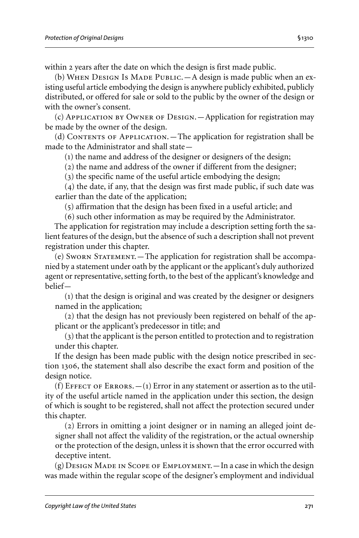within 2 years after the date on which the design is first made public. (b) WHEN DESIGN Is MADE PUBLIC. - A design is made public when an existing useful article embodying the design is anywhere publicly exhibited, publicly distributed, or offered for sale or sold to the public by the owner of the design or

with the owner's consent.

(c) Application by Owner of Design.—Application for registration may be made by the owner of the design.

(d) Contents of Application.—The application for registration shall be made to the Administrator and shall state—

(1) the name and address of the designer or designers of the design;

(2) the name and address of the owner if different from the designer;

(3) the specific name of the useful article embodying the design;

(4) the date, if any, that the design was first made public, if such date was earlier than the date of the application;

(5) affirmation that the design has been fixed in a useful article; and

(6) such other information as may be required by the Administrator.

The application for registration may include a description setting forth the salient features of the design, but the absence of such a description shall not prevent registration under this chapter.

(e) Sworn Statement.—The application for registration shall be accompanied by a statement under oath by the applicant or the applicant's duly authorized agent or representative, setting forth, to the best of the applicant's knowledge and belief—

(1) that the design is original and was created by the designer or designers named in the application;

(2) that the design has not previously been registered on behalf of the applicant or the applicant's predecessor in title; and

(3) that the applicant is the person entitled to protection and to registration under this chapter.

If the design has been made public with the design notice prescribed in section 1306, the statement shall also describe the exact form and position of the design notice.

(f) EFFECT OF ERRORS.  $-(1)$  Error in any statement or assertion as to the utility of the useful article named in the application under this section, the design of which is sought to be registered, shall not affect the protection secured under this chapter.

(2) Errors in omitting a joint designer or in naming an alleged joint designer shall not affect the validity of the registration, or the actual ownership or the protection of the design, unless it is shown that the error occurred with deceptive intent.

(g) Design Made in Scope of Employment.—In a case in which the design was made within the regular scope of the designer's employment and individual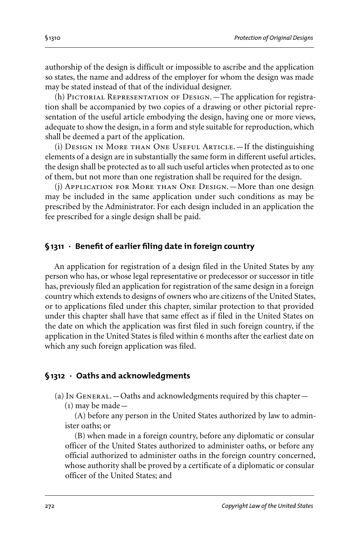authorship of the design is difficult or impossible to ascribe and the application so states, the name and address of the employer for whom the design was made may be stated instead of that of the individual designer.

(h) PICTORIAL REPRESENTATION OF DESIGN. - The application for registration shall be accompanied by two copies of a drawing or other pictorial representation of the useful article embodying the design, having one or more views, adequate to show the design, in a form and style suitable for reproduction, which shall be deemed a part of the application.

(i) Design in More than One Useful Article.—If the distinguishing elements of a design are in substantially the same form in different useful articles, the design shall be protected as to all such useful articles when protected as to one of them, but not more than one registration shall be required for the design.

(j) Application for More than One Design.—More than one design may be included in the same application under such conditions as may be prescribed by the Administrator. For each design included in an application the fee prescribed for a single design shall be paid.

## **§1311 · Benefit of earlier filing date in foreign country**

An application for registration of a design filed in the United States by any person who has, or whose legal representative or predecessor or successor in title has, previously filed an application for registration of the same design in a foreign country which extends to designs of owners who are citizens of the United States, or to applications filed under this chapter, similar protection to that provided under this chapter shall have that same effect as if filed in the United States on the date on which the application was first filed in such foreign country, if the application in the United States is filed within 6 months after the earliest date on which any such foreign application was filed.

## **§1312 · Oaths and acknowledgments**

(a) In GENERAL.  $-$  Oaths and acknowledgments required by this chapter  $-$ 

(1) may be made—

(A) before any person in the United States authorized by law to administer oaths; or

(B) when made in a foreign country, before any diplomatic or consular officer of the United States authorized to administer oaths, or before any official authorized to administer oaths in the foreign country concerned, whose authority shall be proved by a certificate of a diplomatic or consular officer of the United States; and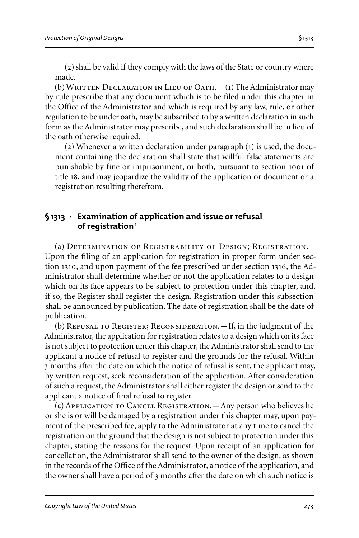(2) shall be valid if they comply with the laws of the State or country where made.

(b) WRITTEN DECLARATION IN LIEU OF OATH. $-(1)$  The Administrator may by rule prescribe that any document which is to be filed under this chapter in the Office of the Administrator and which is required by any law, rule, or other regulation to be under oath, may be subscribed to by a written declaration in such form as the Administrator may prescribe, and such declaration shall be in lieu of the oath otherwise required.

(2) Whenever a written declaration under paragraph (1) is used, the document containing the declaration shall state that willful false statements are punishable by fine or imprisonment, or both, pursuant to section 1001 of title 18, and may jeopardize the validity of the application or document or a registration resulting therefrom.

#### **§1313 · Examination of application and issue or refusal of registration**4

(a) Determination of Registrability of Design; Registration.— Upon the filing of an application for registration in proper form under section 1310, and upon payment of the fee prescribed under section 1316, the Administrator shall determine whether or not the application relates to a design which on its face appears to be subject to protection under this chapter, and, if so, the Register shall register the design. Registration under this subsection shall be announced by publication. The date of registration shall be the date of publication.

(b) Refusal to Register; Reconsideration.—If, in the judgment of the Administrator, the application for registration relates to a design which on its face is not subject to protection under this chapter, the Administrator shall send to the applicant a notice of refusal to register and the grounds for the refusal. Within 3 months after the date on which the notice of refusal is sent, the applicant may, by written request, seek reconsideration of the application. After consideration of such a request, the Administrator shall either register the design or send to the applicant a notice of final refusal to register.

(c) Application to Cancel Registration.—Any person who believes he or she is or will be damaged by a registration under this chapter may, upon payment of the prescribed fee, apply to the Administrator at any time to cancel the registration on the ground that the design is not subject to protection under this chapter, stating the reasons for the request. Upon receipt of an application for cancellation, the Administrator shall send to the owner of the design, as shown in the records of the Office of the Administrator, a notice of the application, and the owner shall have a period of 3 months after the date on which such notice is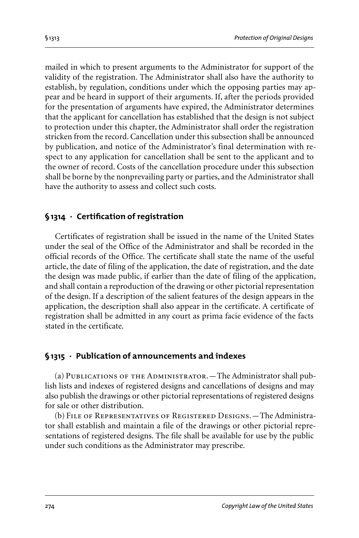mailed in which to present arguments to the Administrator for support of the validity of the registration. The Administrator shall also have the authority to establish, by regulation, conditions under which the opposing parties may appear and be heard in support of their arguments. If, after the periods provided for the presentation of arguments have expired, the Administrator determines that the applicant for cancellation has established that the design is not subject to protection under this chapter, the Administrator shall order the registration stricken from the record. Cancellation under this subsection shall be announced by publication, and notice of the Administrator's final determination with respect to any application for cancellation shall be sent to the applicant and to the owner of record. Costs of the cancellation procedure under this subsection shall be borne by the nonprevailing party or parties, and the Administrator shall have the authority to assess and collect such costs.

## **§1314 · Certification of registration**

Certificates of registration shall be issued in the name of the United States under the seal of the Office of the Administrator and shall be recorded in the official records of the Office. The certificate shall state the name of the useful article, the date of filing of the application, the date of registration, and the date the design was made public, if earlier than the date of filing of the application, and shall contain a reproduction of the drawing or other pictorial representation of the design. If a description of the salient features of the design appears in the application, the description shall also appear in the certificate. A certificate of registration shall be admitted in any court as prima facie evidence of the facts stated in the certificate.

## **§1315 · Publication of announcements and indexes**

(a) Publications of the Administrator.—The Administrator shall publish lists and indexes of registered designs and cancellations of designs and may also publish the drawings or other pictorial representations of registered designs for sale or other distribution.

(b) File of Representatives of Registered Designs.—The Administrator shall establish and maintain a file of the drawings or other pictorial representations of registered designs. The file shall be available for use by the public under such conditions as the Administrator may prescribe.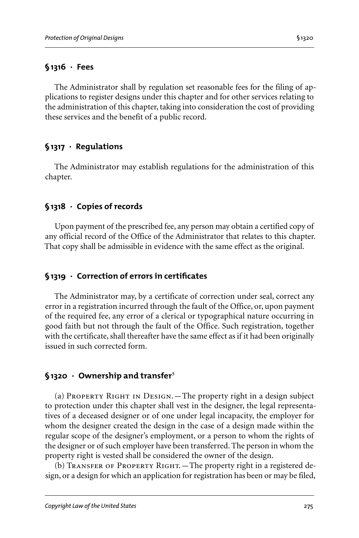## **§1316 · Fees**

The Administrator shall by regulation set reasonable fees for the filing of applications to register designs under this chapter and for other services relating to the administration of this chapter, taking into consideration the cost of providing these services and the benefit of a public record.

## **§1317 · Regulations**

The Administrator may establish regulations for the administration of this chapter.

# **§1318 · Copies of records**

Upon payment of the prescribed fee, any person may obtain a certified copy of any official record of the Office of the Administrator that relates to this chapter. That copy shall be admissible in evidence with the same effect as the original.

# **§1319 · Correction of errors in certificates**

The Administrator may, by a certificate of correction under seal, correct any error in a registration incurred through the fault of the Office, or, upon payment of the required fee, any error of a clerical or typographical nature occurring in good faith but not through the fault of the Office. Such registration, together with the certificate, shall thereafter have the same effect as if it had been originally issued in such corrected form.

## **§1320 · Ownership and transfer**5

(a) Property Right in Design.—The property right in a design subject to protection under this chapter shall vest in the designer, the legal representatives of a deceased designer or of one under legal incapacity, the employer for whom the designer created the design in the case of a design made within the regular scope of the designer's employment, or a person to whom the rights of the designer or of such employer have been transferred. The person in whom the property right is vested shall be considered the owner of the design.

(b) Transfer of Property Right.—The property right in a registered design, or a design for which an application for registration has been or may be filed,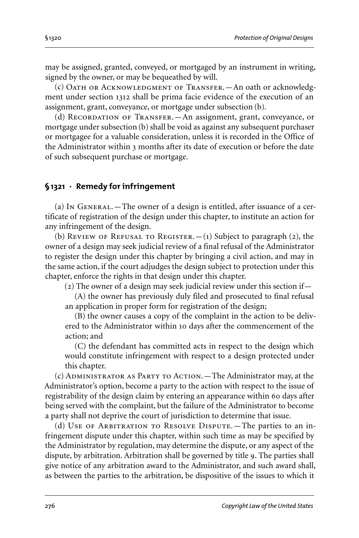may be assigned, granted, conveyed, or mortgaged by an instrument in writing, signed by the owner, or may be bequeathed by will.

(c) Oath or Acknowledgment of Transfer.—An oath or acknowledgment under section 1312 shall be prima facie evidence of the execution of an assignment, grant, conveyance, or mortgage under subsection (b).

(d) Recordation of Transfer.—An assignment, grant, conveyance, or mortgage under subsection (b) shall be void as against any subsequent purchaser or mortgagee for a valuable consideration, unless it is recorded in the Office of the Administrator within 3 months after its date of execution or before the date of such subsequent purchase or mortgage.

# **§1321 · Remedy for infringement**

(a) In General.—The owner of a design is entitled, after issuance of a certificate of registration of the design under this chapter, to institute an action for any infringement of the design.

(b) REVIEW OF REFUSAL TO REGISTER.  $-(1)$  Subject to paragraph (2), the owner of a design may seek judicial review of a final refusal of the Administrator to register the design under this chapter by bringing a civil action, and may in the same action, if the court adjudges the design subject to protection under this chapter, enforce the rights in that design under this chapter.

(2) The owner of a design may seek judicial review under this section if—

(A) the owner has previously duly filed and prosecuted to final refusal an application in proper form for registration of the design;

(B) the owner causes a copy of the complaint in the action to be delivered to the Administrator within 10 days after the commencement of the action; and

(C) the defendant has committed acts in respect to the design which would constitute infringement with respect to a design protected under this chapter.

(c) Administrator as Party to Action.—The Administrator may, at the Administrator's option, become a party to the action with respect to the issue of registrability of the design claim by entering an appearance within 60 days after being served with the complaint, but the failure of the Administrator to become a party shall not deprive the court of jurisdiction to determine that issue.

(d) Use of Arbitration to Resolve Dispute.—The parties to an infringement dispute under this chapter, within such time as may be specified by the Administrator by regulation, may determine the dispute, or any aspect of the dispute, by arbitration. Arbitration shall be governed by title 9. The parties shall give notice of any arbitration award to the Administrator, and such award shall, as between the parties to the arbitration, be dispositive of the issues to which it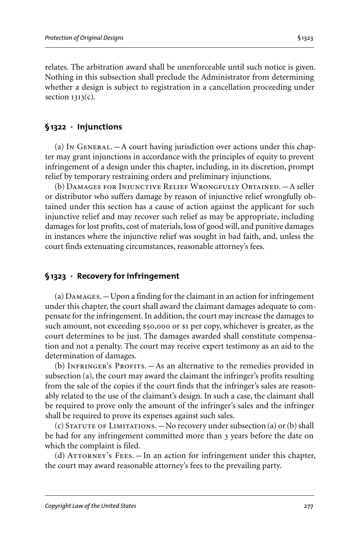relates. The arbitration award shall be unenforceable until such notice is given. Nothing in this subsection shall preclude the Administrator from determining whether a design is subject to registration in a cancellation proceeding under section  $1313(c)$ .

## **§1322 · Injunctions**

(a) In  $G$ ENERAL.—A court having jurisdiction over actions under this chapter may grant injunctions in accordance with the principles of equity to prevent infringement of a design under this chapter, including, in its discretion, prompt relief by temporary restraining orders and preliminary injunctions.

(b) Damages for Injunctive Relief Wrongfully Obtained.—A seller or distributor who suffers damage by reason of injunctive relief wrongfully obtained under this section has a cause of action against the applicant for such injunctive relief and may recover such relief as may be appropriate, including damages for lost profits, cost of materials, loss of good will, and punitive damages in instances where the injunctive relief was sought in bad faith, and, unless the court finds extenuating circumstances, reasonable attorney's fees.

## **§1323 · Recovery for infringement**

(a) Damages.—Upon a finding for the claimant in an action for infringement under this chapter, the court shall award the claimant damages adequate to compensate for the infringement. In addition, the court may increase the damages to such amount, not exceeding \$50,000 or \$1 per copy, whichever is greater, as the court determines to be just. The damages awarded shall constitute compensation and not a penalty. The court may receive expert testimony as an aid to the determination of damages.

(b) INFRINGER's PROFITS. — As an alternative to the remedies provided in subsection (a), the court may award the claimant the infringer's profits resulting from the sale of the copies if the court finds that the infringer's sales are reasonably related to the use of the claimant's design. In such a case, the claimant shall be required to prove only the amount of the infringer's sales and the infringer shall be required to prove its expenses against such sales.

(c) Statute of Limitations.—No recovery under subsection (a) or(b) shall be had for any infringement committed more than 3 years before the date on which the complaint is filed.

(d) ATTORNEY's FEES. — In an action for infringement under this chapter, the court may award reasonable attorney's fees to the prevailing party.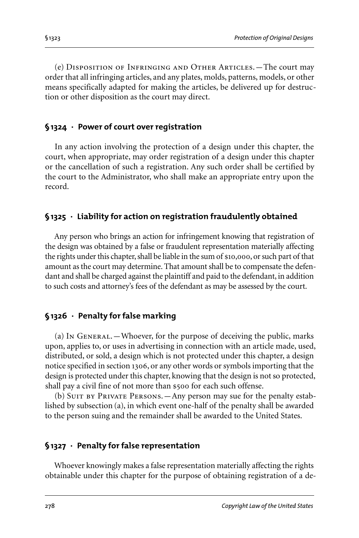(e) Disposition of Infringing and Other Articles.—The court may order that all infringing articles, and any plates, molds, patterns, models, or other means specifically adapted for making the articles, be delivered up for destruction or other disposition as the court may direct.

## **§1324 · Power of court over registration**

In any action involving the protection of a design under this chapter, the court, when appropriate, may order registration of a design under this chapter or the cancellation of such a registration. Any such order shall be certified by the court to the Administrator, who shall make an appropriate entry upon the record.

## **§1325 · Liability for action on registration fraudulently obtained**

Any person who brings an action for infringement knowing that registration of the design was obtained by a false or fraudulent representation materially affecting the rights under this chapter, shall be liable in the sum of \$10,000, or such part of that amount as the court may determine. That amount shall be to compensate the defendant and shall be charged against the plaintiff and paid to the defendant, in addition to such costs and attorney's fees of the defendant as may be assessed by the court.

# **§1326 · Penalty for false marking**

(a) In General.—Whoever, for the purpose of deceiving the public, marks upon, applies to, or uses in advertising in connection with an article made, used, distributed, or sold, a design which is not protected under this chapter, a design notice specified in section 1306, or any other words or symbols importing that the design is protected under this chapter, knowing that the design is not so protected, shall pay a civil fine of not more than \$500 for each such offense.

(b) SUIT BY PRIVATE PERSONS. — Any person may sue for the penalty established by subsection (a), in which event one-half of the penalty shall be awarded to the person suing and the remainder shall be awarded to the United States.

# **§1327 · Penalty for false representation**

Whoever knowingly makes a false representation materially affecting the rights obtainable under this chapter for the purpose of obtaining registration of a de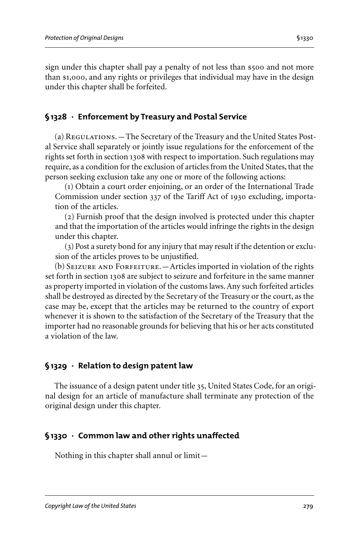sign under this chapter shall pay a penalty of not less than \$500 and not more than \$1,000, and any rights or privileges that individual may have in the design under this chapter shall be forfeited.

## **§1328 · Enforcement by Treasury and Postal Service**

(a) Regulations.—The Secretary of the Treasury and the United States Postal Service shall separately or jointly issue regulations for the enforcement of the rights set forth in section 1308 with respect to importation. Such regulations may require, as a condition for the exclusion of articles from the United States, that the person seeking exclusion take any one or more of the following actions:

(1) Obtain a court order enjoining, or an order of the International Trade Commission under section 337 of the Tariff Act of 1930 excluding, importation of the articles.

(2) Furnish proof that the design involved is protected under this chapter and that the importation of the articles would infringe the rights in the design under this chapter.

(3) Post a surety bond for any injury that may result if the detention or exclusion of the articles proves to be unjustified.

(b) SEIZURE AND FORFEITURE. - Articles imported in violation of the rights set forth in section 1308 are subject to seizure and forfeiture in the same manner as property imported in violation of the customs laws. Any such forfeited articles shall be destroyed as directed by the Secretary of the Treasury or the court, as the case may be, except that the articles may be returned to the country of export whenever it is shown to the satisfaction of the Secretary of the Treasury that the importer had no reasonable grounds for believing that his or her acts constituted a violation of the law.

## **§1329 · Relation to design patent law**

The issuance of a design patent under title 35, United States Code, for an original design for an article of manufacture shall terminate any protection of the original design under this chapter.

## **§1330 · Common law and other rights unaffected**

Nothing in this chapter shall annul or limit—